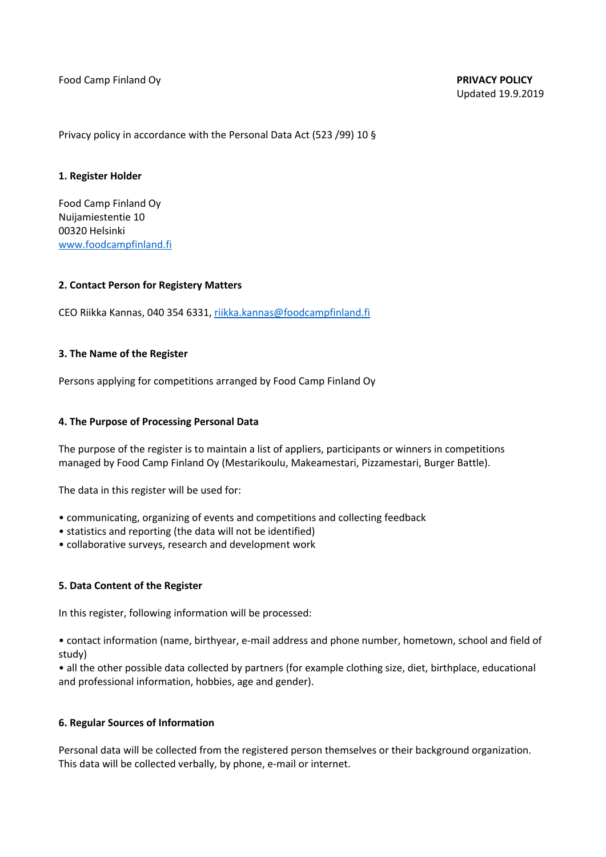Food Camp Finland Oy **PRIVACY POLICY**

Privacy policy in accordance with the Personal Data Act (523 /99) 10 §

### **1. Register Holder**

Food Camp Finland Oy Nuijamiestentie 10 00320 Helsinki www.foodcampfinland.fi

### **2. Contact Person for Registery Matters**

CEO Riikka Kannas, 040 354 6331, riikka.kannas@foodcampfinland.fi

### **3. The Name of the Register**

Persons applying for competitions arranged by Food Camp Finland Oy

### **4. The Purpose of Processing Personal Data**

The purpose of the register is to maintain a list of appliers, participants or winners in competitions managed by Food Camp Finland Oy (Mestarikoulu, Makeamestari, Pizzamestari, Burger Battle).

The data in this register will be used for:

- communicating, organizing of events and competitions and collecting feedback
- statistics and reporting (the data will not be identified)
- collaborative surveys, research and development work

## **5. Data Content of the Register**

In this register, following information will be processed:

• contact information (name, birthyear, e-mail address and phone number, hometown, school and field of study)

• all the other possible data collected by partners (for example clothing size, diet, birthplace, educational and professional information, hobbies, age and gender).

#### **6. Regular Sources of Information**

Personal data will be collected from the registered person themselves or their background organization. This data will be collected verbally, by phone, e-mail or internet.